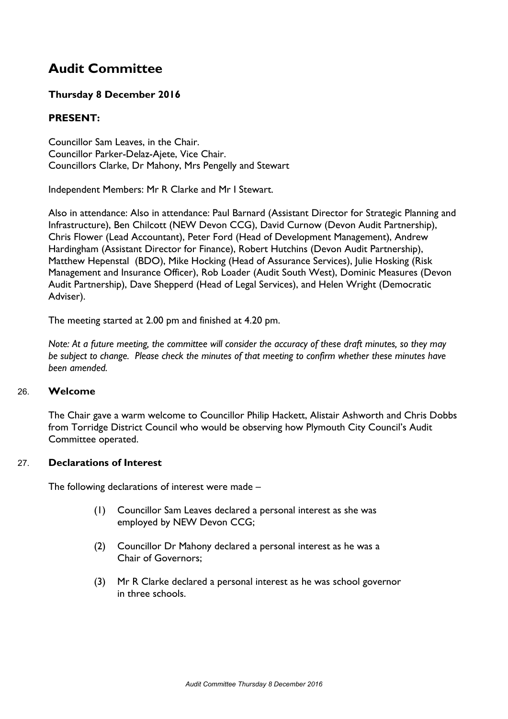# **Audit Committee**

# **Thursday 8 December 2016**

# **PRESENT:**

Councillor Sam Leaves, in the Chair. Councillor Parker-Delaz-Ajete, Vice Chair. Councillors Clarke, Dr Mahony, Mrs Pengelly and Stewart

Independent Members: Mr R Clarke and Mr I Stewart.

Also in attendance: Also in attendance: Paul Barnard (Assistant Director for Strategic Planning and Infrastructure), Ben Chilcott (NEW Devon CCG), David Curnow (Devon Audit Partnership), Chris Flower (Lead Accountant), Peter Ford (Head of Development Management), Andrew Hardingham (Assistant Director for Finance), Robert Hutchins (Devon Audit Partnership), Matthew Hepenstal (BDO), Mike Hocking (Head of Assurance Services), Julie Hosking (Risk Management and Insurance Officer), Rob Loader (Audit South West), Dominic Measures (Devon Audit Partnership), Dave Shepperd (Head of Legal Services), and Helen Wright (Democratic Adviser).

The meeting started at 2.00 pm and finished at 4.20 pm.

Note: At a future meeting, the committee will consider the accuracy of these draft minutes, so they may *be subject to change. Please check the minutes of that meeting to confirm whether these minutes have been amended.*

## 26. **Welcome**

The Chair gave a warm welcome to Councillor Philip Hackett, Alistair Ashworth and Chris Dobbs from Torridge District Council who would be observing how Plymouth City Council's Audit Committee operated.

#### 27. **Declarations of Interest**

The following declarations of interest were made –

- (1) Councillor Sam Leaves declared a personal interest as she was employed by NEW Devon CCG;
- (2) Councillor Dr Mahony declared a personal interest as he was a Chair of Governors;
- (3) Mr R Clarke declared a personal interest as he was school governor in three schools.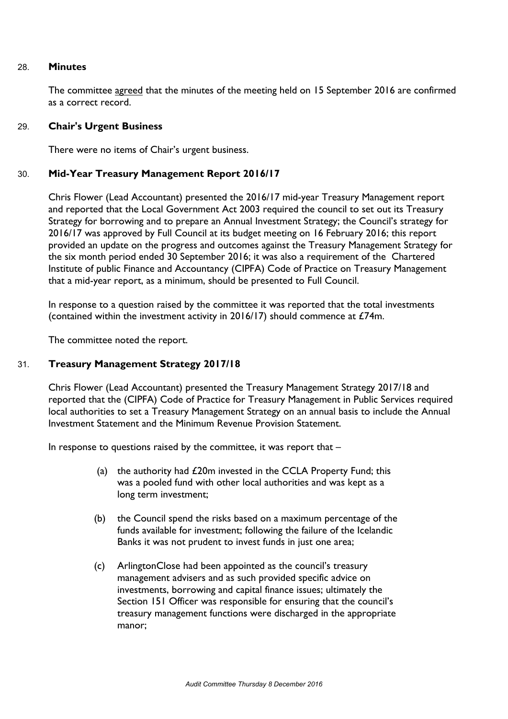#### 28. **Minutes**

The committee agreed that the minutes of the meeting held on 15 September 2016 are confirmed as a correct record.

#### 29. **Chair's Urgent Business**

There were no items of Chair's urgent business.

#### 30. **Mid-Year Treasury Management Report 2016/17**

Chris Flower (Lead Accountant) presented the 2016/17 mid-year Treasury Management report and reported that the Local Government Act 2003 required the council to set out its Treasury Strategy for borrowing and to prepare an Annual Investment Strategy; the Council's strategy for 2016/17 was approved by Full Council at its budget meeting on 16 February 2016; this report provided an update on the progress and outcomes against the Treasury Management Strategy for the six month period ended 30 September 2016; it was also a requirement of the Chartered Institute of public Finance and Accountancy (CIPFA) Code of Practice on Treasury Management that a mid-year report, as a minimum, should be presented to Full Council.

In response to a question raised by the committee it was reported that the total investments (contained within the investment activity in 2016/17) should commence at £74m.

The committee noted the report.

#### 31. **Treasury Management Strategy 2017/18**

Chris Flower (Lead Accountant) presented the Treasury Management Strategy 2017/18 and reported that the (CIPFA) Code of Practice for Treasury Management in Public Services required local authorities to set a Treasury Management Strategy on an annual basis to include the Annual Investment Statement and the Minimum Revenue Provision Statement.

In response to questions raised by the committee, it was report that  $-$ 

- (a) the authority had £20m invested in the CCLA Property Fund; this was a pooled fund with other local authorities and was kept as a long term investment;
- (b) the Council spend the risks based on a maximum percentage of the funds available for investment; following the failure of the Icelandic Banks it was not prudent to invest funds in just one area;
- (c) ArlingtonClose had been appointed as the council's treasury management advisers and as such provided specific advice on investments, borrowing and capital finance issues; ultimately the Section 151 Officer was responsible for ensuring that the council's treasury management functions were discharged in the appropriate manor;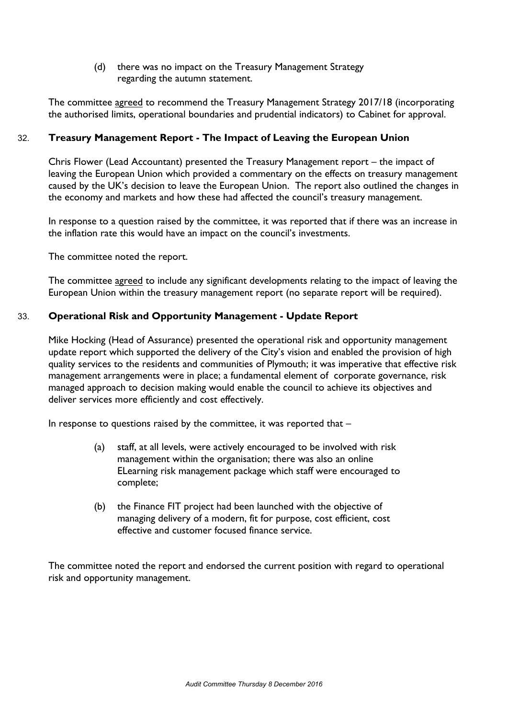(d) there was no impact on the Treasury Management Strategy regarding the autumn statement.

The committee agreed to recommend the Treasury Management Strategy 2017/18 (incorporating the authorised limits, operational boundaries and prudential indicators) to Cabinet for approval.

# 32. **Treasury Management Report - The Impact of Leaving the European Union**

Chris Flower (Lead Accountant) presented the Treasury Management report – the impact of leaving the European Union which provided a commentary on the effects on treasury management caused by the UK's decision to leave the European Union. The report also outlined the changes in the economy and markets and how these had affected the council's treasury management.

In response to a question raised by the committee, it was reported that if there was an increase in the inflation rate this would have an impact on the council's investments.

The committee noted the report.

The committee agreed to include any significant developments relating to the impact of leaving the European Union within the treasury management report (no separate report will be required).

## 33. **Operational Risk and Opportunity Management - Update Report**

Mike Hocking (Head of Assurance) presented the operational risk and opportunity management update report which supported the delivery of the City's vision and enabled the provision of high quality services to the residents and communities of Plymouth; it was imperative that effective risk management arrangements were in place; a fundamental element of corporate governance, risk managed approach to decision making would enable the council to achieve its objectives and deliver services more efficiently and cost effectively.

In response to questions raised by the committee, it was reported that  $-$ 

- (a) staff, at all levels, were actively encouraged to be involved with risk management within the organisation; there was also an online ELearning risk management package which staff were encouraged to complete;
- (b) the Finance FIT project had been launched with the objective of managing delivery of a modern, fit for purpose, cost efficient, cost effective and customer focused finance service.

The committee noted the report and endorsed the current position with regard to operational risk and opportunity management.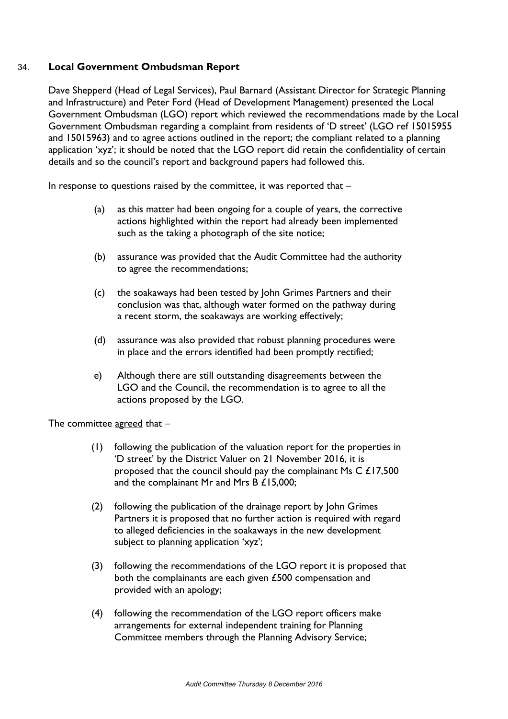## 34. **Local Government Ombudsman Report**

Dave Shepperd (Head of Legal Services), Paul Barnard (Assistant Director for Strategic Planning and Infrastructure) and Peter Ford (Head of Development Management) presented the Local Government Ombudsman (LGO) report which reviewed the recommendations made by the Local Government Ombudsman regarding a complaint from residents of 'D street' (LGO ref 15015955 and 15015963) and to agree actions outlined in the report; the compliant related to a planning application 'xyz'; it should be noted that the LGO report did retain the confidentiality of certain details and so the council's report and background papers had followed this.

In response to questions raised by the committee, it was reported that  $-$ 

- (a) as this matter had been ongoing for a couple of years, the corrective actions highlighted within the report had already been implemented such as the taking a photograph of the site notice;
- (b) assurance was provided that the Audit Committee had the authority to agree the recommendations;
- (c) the soakaways had been tested by John Grimes Partners and their conclusion was that, although water formed on the pathway during a recent storm, the soakaways are working effectively;
- (d) assurance was also provided that robust planning procedures were in place and the errors identified had been promptly rectified;
- e) Although there are still outstanding disagreements between the LGO and the Council, the recommendation is to agree to all the actions proposed by the LGO.

The committee agreed that –

- (1) following the publication of the valuation report for the properties in 'D street' by the District Valuer on 21 November 2016, it is proposed that the council should pay the complainant Ms C £17,500 and the complainant Mr and Mrs B £15,000;
- (2) following the publication of the drainage report by John Grimes Partners it is proposed that no further action is required with regard to alleged deficiencies in the soakaways in the new development subject to planning application 'xyz';
- (3) following the recommendations of the LGO report it is proposed that both the complainants are each given £500 compensation and provided with an apology;
- (4) following the recommendation of the LGO report officers make arrangements for external independent training for Planning Committee members through the Planning Advisory Service;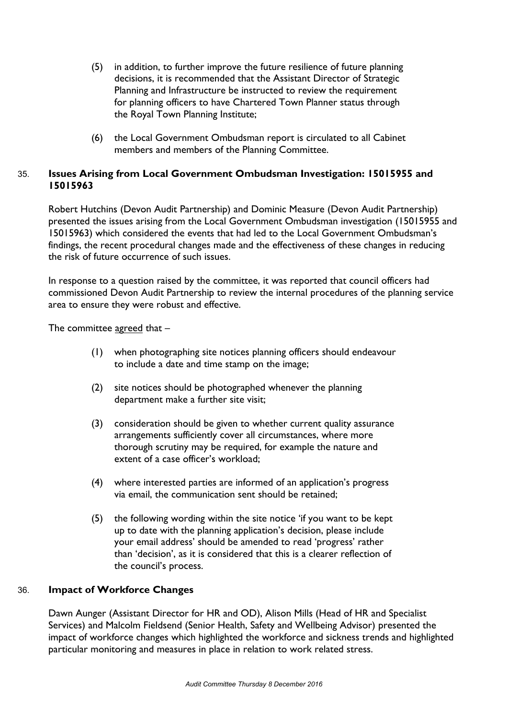- (5) in addition, to further improve the future resilience of future planning decisions, it is recommended that the Assistant Director of Strategic Planning and Infrastructure be instructed to review the requirement for planning officers to have Chartered Town Planner status through the Royal Town Planning Institute;
- (6) the Local Government Ombudsman report is circulated to all Cabinet members and members of the Planning Committee.

## 35. **Issues Arising from Local Government Ombudsman Investigation: 15015955 and 15015963**

Robert Hutchins (Devon Audit Partnership) and Dominic Measure (Devon Audit Partnership) presented the issues arising from the Local Government Ombudsman investigation (15015955 and 15015963) which considered the events that had led to the Local Government Ombudsman's findings, the recent procedural changes made and the effectiveness of these changes in reducing the risk of future occurrence of such issues.

In response to a question raised by the committee, it was reported that council officers had commissioned Devon Audit Partnership to review the internal procedures of the planning service area to ensure they were robust and effective.

The committee  $\frac{1}{2}$  agreed that  $-$ 

- (1) when photographing site notices planning officers should endeavour to include a date and time stamp on the image;
- (2) site notices should be photographed whenever the planning department make a further site visit;
- (3) consideration should be given to whether current quality assurance arrangements sufficiently cover all circumstances, where more thorough scrutiny may be required, for example the nature and extent of a case officer's workload;
- (4) where interested parties are informed of an application's progress via email, the communication sent should be retained;
- (5) the following wording within the site notice 'if you want to be kept up to date with the planning application's decision, please include your email address' should be amended to read 'progress' rather than 'decision', as it is considered that this is a clearer reflection of the council's process.

## 36. **Impact of Workforce Changes**

Dawn Aunger (Assistant Director for HR and OD), Alison Mills (Head of HR and Specialist Services) and Malcolm Fieldsend (Senior Health, Safety and Wellbeing Advisor) presented the impact of workforce changes which highlighted the workforce and sickness trends and highlighted particular monitoring and measures in place in relation to work related stress.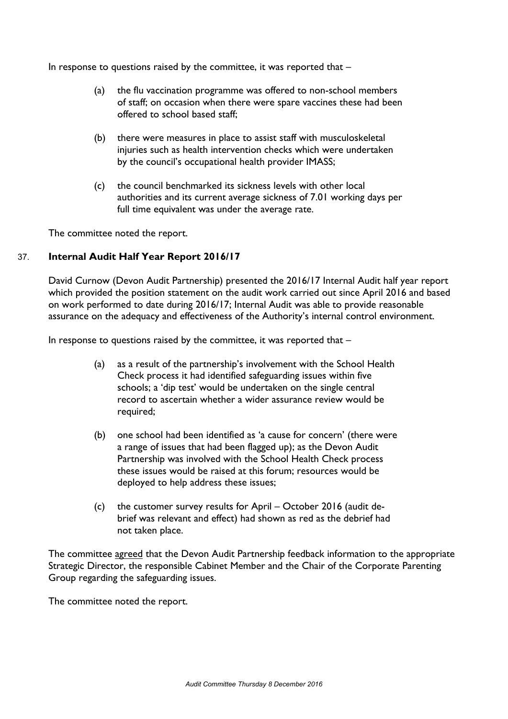In response to questions raised by the committee, it was reported that  $-$ 

- (a) the flu vaccination programme was offered to non-school members of staff; on occasion when there were spare vaccines these had been offered to school based staff;
- (b) there were measures in place to assist staff with musculoskeletal injuries such as health intervention checks which were undertaken by the council's occupational health provider IMASS;
- (c) the council benchmarked its sickness levels with other local authorities and its current average sickness of 7.01 working days per full time equivalent was under the average rate.

The committee noted the report.

## 37. **Internal Audit Half Year Report 2016/17**

David Curnow (Devon Audit Partnership) presented the 2016/17 Internal Audit half year report which provided the position statement on the audit work carried out since April 2016 and based on work performed to date during 2016/17; Internal Audit was able to provide reasonable assurance on the adequacy and effectiveness of the Authority's internal control environment.

In response to questions raised by the committee, it was reported that  $-$ 

- (a) as a result of the partnership's involvement with the School Health Check process it had identified safeguarding issues within five schools; a 'dip test' would be undertaken on the single central record to ascertain whether a wider assurance review would be required;
- (b) one school had been identified as 'a cause for concern' (there were a range of issues that had been flagged up); as the Devon Audit Partnership was involved with the School Health Check process these issues would be raised at this forum; resources would be deployed to help address these issues;
- (c) the customer survey results for April October 2016 (audit debrief was relevant and effect) had shown as red as the debrief had not taken place.

The committee agreed that the Devon Audit Partnership feedback information to the appropriate Strategic Director, the responsible Cabinet Member and the Chair of the Corporate Parenting Group regarding the safeguarding issues.

The committee noted the report.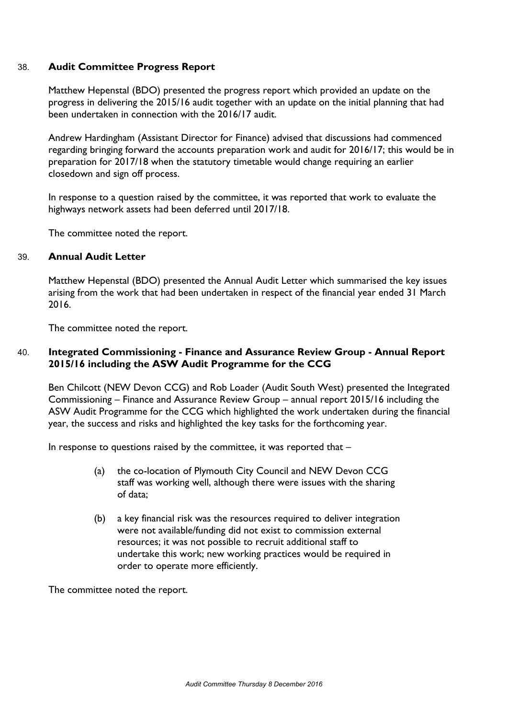#### 38. **Audit Committee Progress Report**

Matthew Hepenstal (BDO) presented the progress report which provided an update on the progress in delivering the 2015/16 audit together with an update on the initial planning that had been undertaken in connection with the 2016/17 audit.

Andrew Hardingham (Assistant Director for Finance) advised that discussions had commenced regarding bringing forward the accounts preparation work and audit for 2016/17; this would be in preparation for 2017/18 when the statutory timetable would change requiring an earlier closedown and sign off process.

In response to a question raised by the committee, it was reported that work to evaluate the highways network assets had been deferred until 2017/18.

The committee noted the report.

#### 39. **Annual Audit Letter**

Matthew Hepenstal (BDO) presented the Annual Audit Letter which summarised the key issues arising from the work that had been undertaken in respect of the financial year ended 31 March 2016.

The committee noted the report.

## 40. **Integrated Commissioning - Finance and Assurance Review Group - Annual Report 2015/16 including the ASW Audit Programme for the CCG**

Ben Chilcott (NEW Devon CCG) and Rob Loader (Audit South West) presented the Integrated Commissioning – Finance and Assurance Review Group – annual report 2015/16 including the ASW Audit Programme for the CCG which highlighted the work undertaken during the financial year, the success and risks and highlighted the key tasks for the forthcoming year.

In response to questions raised by the committee, it was reported that  $-$ 

- (a) the co-location of Plymouth City Council and NEW Devon CCG staff was working well, although there were issues with the sharing of data;
- (b) a key financial risk was the resources required to deliver integration were not available/funding did not exist to commission external resources; it was not possible to recruit additional staff to undertake this work; new working practices would be required in order to operate more efficiently.

The committee noted the report.